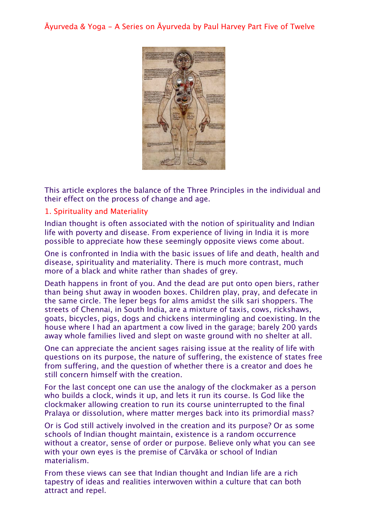Āyurveda & Yoga - A Series on Āyurveda by Paul Harvey Part Five of Twelve



This article explores the balance of the Three Principles in the individual and their effect on the process of change and age.

## 1. Spirituality and Materiality

Indian thought is often associated with the notion of spirituality and Indian life with poverty and disease. From experience of living in India it is more possible to appreciate how these seemingly opposite views come about.

One is confronted in India with the basic issues of life and death, health and disease, spirituality and materiality. There is much more contrast, much more of a black and white rather than shades of grey.

Death happens in front of you. And the dead are put onto open biers, rather than being shut away in wooden boxes. Children play, pray, and defecate in the same circle. The leper begs for alms amidst the silk sari shoppers. The streets of Chennai, in South India, are a mixture of taxis, cows, rickshaws, goats, bicycles, pigs, dogs and chickens intermingling and coexisting. In the house where I had an apartment a cow lived in the garage; barely 200 yards away whole families lived and slept on waste ground with no shelter at all.

One can appreciate the ancient sages raising issue at the reality of life with questions on its purpose, the nature of suffering, the existence of states free from suffering, and the question of whether there is a creator and does he still concern himself with the creation.

For the last concept one can use the analogy of the clockmaker as a person who builds a clock, winds it up, and lets it run its course. Is God like the clockmaker allowing creation to run its course uninterrupted to the final Pralaya or dissolution, where matter merges back into its primordial mass?

Or is God still actively involved in the creation and its purpose? Or as some schools of Indian thought maintain, existence is a random occurrence without a creator, sense of order or purpose. Believe only what you can see with your own eyes is the premise of Cārvāka or school of Indian materialism.

From these views can see that Indian thought and Indian life are a rich tapestry of ideas and realities interwoven within a culture that can both attract and repel.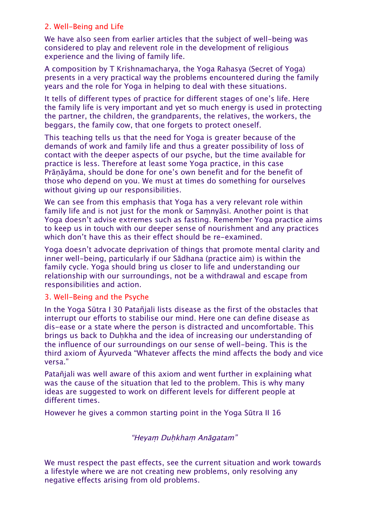## 2. Well-Being and Life

We have also seen from earlier articles that the subject of well-being was considered to play and relevent role in the development of religious experience and the living of family life.

A composition by T Krishnamacharya, the Yoga Rahasya (Secret of Yoga) presents in a very practical way the problems encountered during the family years and the role for Yoga in helping to deal with these situations.

It tells of different types of practice for different stages of one's life. Here the family life is very important and yet so much energy is used in protecting the partner, the children, the grandparents, the relatives, the workers, the beggars, the family cow, that one forgets to protect oneself.

This teaching tells us that the need for Yoga is greater because of the demands of work and family life and thus a greater possibility of loss of contact with the deeper aspects of our psyche, but the time available for practice is less. Therefore at least some Yoga practice, in this case Prāṇāyāma, should be done for one's own benefit and for the benefit of those who depend on you. We must at times do something for ourselves without giving up our responsibilities.

We can see from this emphasis that Yoga has a very relevant role within family life and is not just for the monk or Saṃnyāsi. Another point is that Yoga doesn't advise extremes such as fasting. Remember Yoga practice aims to keep us in touch with our deeper sense of nourishment and any practices which don't have this as their effect should be re-examined.

Yoga doesn't advocate deprivation of things that promote mental clarity and inner well-being, particularly if our Sādhana (practice aim) is within the family cycle. Yoga should bring us closer to life and understanding our relationship with our surroundings, not be a withdrawal and escape from responsibilities and action.

#### 3. Well-Being and the Psyche

In the Yoga Sūtra I 30 Patañjali lists disease as the first of the obstacles that interrupt our efforts to stabilise our mind. Here one can define disease as dis-ease or a state where the person is distracted and uncomfortable. This brings us back to Duhkha and the idea of increasing our understanding of the influence of our surroundings on our sense of well-being. This is the third axiom of Āyurveda "Whatever affects the mind affects the body and vice versa."

Patañjali was well aware of this axiom and went further in explaining what was the cause of the situation that led to the problem. This is why many ideas are suggested to work on different levels for different people at different times.

However he gives a common starting point in the Yoga Sūtra II 16

"Heyaṃ Duḥkhaṃ Anāgatam"

We must respect the past effects, see the current situation and work towards a lifestyle where we are not creating new problems, only resolving any negative effects arising from old problems.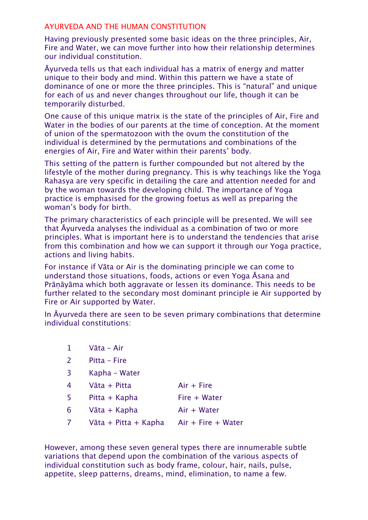#### AYURVEDA AND THE HUMAN CONSTITUTION

Having previously presented some basic ideas on the three principles, Air, Fire and Water, we can move further into how their relationship determines our individual constitution.

Āyurveda tells us that each individual has a matrix of energy and matter unique to their body and mind. Within this pattern we have a state of dominance of one or more the three principles. This is "natural" and unique for each of us and never changes throughout our life, though it can be temporarily disturbed.

One cause of this unique matrix is the state of the principles of Air, Fire and Water in the bodies of our parents at the time of conception. At the moment of union of the spermatozoon with the ovum the constitution of the individual is determined by the permutations and combinations of the energies of Air, Fire and Water within their parents' body.

This setting of the pattern is further compounded but not altered by the lifestyle of the mother during pregnancy. This is why teachings like the Yoga Rahasya are very specific in detailing the care and attention needed for and by the woman towards the developing child. The importance of Yoga practice is emphasised for the growing foetus as well as preparing the woman's body for birth.

The primary characteristics of each principle will be presented. We will see that Āyurveda analyses the individual as a combination of two or more principles. What is important here is to understand the tendencies that arise from this combination and how we can support it through our Yoga practice, actions and living habits.

For instance if Vāta or Air is the dominating principle we can come to understand those situations, foods, actions or even Yoga Āsana and Prāṇāyāma which both aggravate or lessen its dominance. This needs to be further related to the secondary most dominant principle ie Air supported by Fire or Air supported by Water.

In Āyurveda there are seen to be seven primary combinations that determine individual constitutions:

| $\mathbf{1}$   | Vāta - Air                              |              |
|----------------|-----------------------------------------|--------------|
| $\overline{2}$ | Pitta - Fire                            |              |
| $\overline{3}$ | Kapha - Water                           |              |
| $\overline{4}$ | Vāta + Pitta                            | $Air + Fire$ |
| 5              | Pitta + Kapha                           | Fire + Water |
| 6              | Vāta + Kapha                            | Air + Water  |
| $\sqrt{ }$     | Vāta + Pitta + Kapha Air + Fire + Water |              |
|                |                                         |              |

However, among these seven general types there are innumerable subtle variations that depend upon the combination of the various aspects of individual constitution such as body frame, colour, hair, nails, pulse, appetite, sleep patterns, dreams, mind, elimination, to name a few.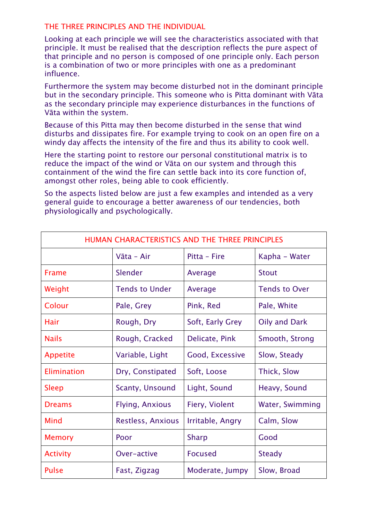#### THE THREE PRINCIPLES AND THE INDIVIDUAL

Looking at each principle we will see the characteristics associated with that principle. It must be realised that the description reflects the pure aspect of that principle and no person is composed of one principle only. Each person is a combination of two or more principles with one as a predominant influence.

Furthermore the system may become disturbed not in the dominant principle but in the secondary principle. This someone who is Pitta dominant with Vāta as the secondary principle may experience disturbances in the functions of Vāta within the system.

Because of this Pitta may then become disturbed in the sense that wind disturbs and dissipates fire. For example trying to cook on an open fire on a windy day affects the intensity of the fire and thus its ability to cook well.

Here the starting point to restore our personal constitutional matrix is to reduce the impact of the wind or Vāta on our system and through this containment of the wind the fire can settle back into its core function of, amongst other roles, being able to cook efficiently.

So the aspects listed below are just a few examples and intended as a very general guide to encourage a better awareness of our tendencies, both physiologically and psychologically.

| HUMAN CHARACTERISTICS AND THE THREE PRINCIPLES |                        |                  |                      |  |
|------------------------------------------------|------------------------|------------------|----------------------|--|
|                                                | Vāta - Air             | Pitta - Fire     | Kapha – Water        |  |
| Frame                                          | Slender                | Average          | <b>Stout</b>         |  |
| Weight                                         | <b>Tends to Under</b>  | Average          | <b>Tends to Over</b> |  |
| Colour                                         | Pale, Grey             | Pink, Red        | Pale, White          |  |
| Hair                                           | Rough, Dry             | Soft, Early Grey | Oily and Dark        |  |
| <b>Nails</b>                                   | Rough, Cracked         | Delicate, Pink   | Smooth, Strong       |  |
| Appetite                                       | Variable, Light        | Good, Excessive  | Slow, Steady         |  |
| Elimination                                    | Dry, Constipated       | Soft, Loose      | Thick, Slow          |  |
| <b>Sleep</b>                                   | Scanty, Unsound        | Light, Sound     | Heavy, Sound         |  |
| <b>Dreams</b>                                  | <b>Flying, Anxious</b> | Fiery, Violent   | Water, Swimming      |  |
| Mind                                           | Restless, Anxious      | Irritable, Angry | Calm, Slow           |  |
| <b>Memory</b>                                  | Poor                   | <b>Sharp</b>     | Good                 |  |
| <b>Activity</b>                                | Over-active            | <b>Focused</b>   | <b>Steady</b>        |  |
| <b>Pulse</b>                                   | Fast, Zigzag           | Moderate, Jumpy  | Slow, Broad          |  |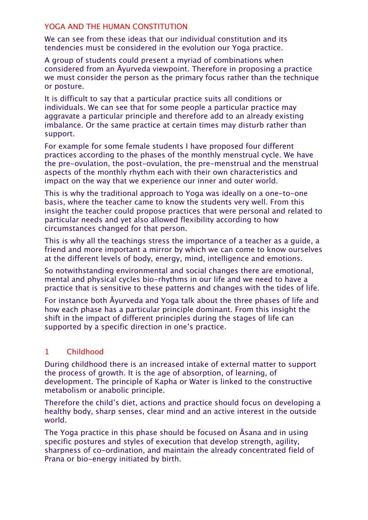### YOGA AND THE HUMAN CONSTITUTION

We can see from these ideas that our individual constitution and its tendencies must be considered in the evolution our Yoga practice.

A group of students could present a myriad of combinations when considered from an Āyurveda viewpoint. Therefore in proposing a practice we must consider the person as the primary focus rather than the technique or posture.

It is difficult to say that a particular practice suits all conditions or individuals. We can see that for some people a particular practice may aggravate a particular principle and therefore add to an already existing imbalance. Or the same practice at certain times may disturb rather than support.

For example for some female students I have proposed four different practices according to the phases of the monthly menstrual cycle. We have the pre-ovulation, the post-ovulation, the pre-menstrual and the menstrual aspects of the monthly rhythm each with their own characteristics and impact on the way that we experience our inner and outer world.

This is why the traditional approach to Yoga was ideally on a one-to-one basis, where the teacher came to know the students very well. From this insight the teacher could propose practices that were personal and related to particular needs and yet also allowed flexibility according to how circumstances changed for that person.

This is why all the teachings stress the importance of a teacher as a guide, a friend and more important a mirror by which we can come to know ourselves at the different levels of body, energy, mind, intelligence and emotions.

So notwithstanding environmental and social changes there are emotional, mental and physical cycles bio-rhythms in our life and we need to have a practice that is sensitive to these patterns and changes with the tides of life.

For instance both Āyurveda and Yoga talk about the three phases of life and how each phase has a particular principle dominant. From this insight the shift in the impact of different principles during the stages of life can supported by a specific direction in one's practice.

# 1 Childhood

During childhood there is an increased intake of external matter to support the process of growth. It is the age of absorption, of learning, of development. The principle of Kapha or Water is linked to the constructive metabolism or anabolic principle.

Therefore the child's diet, actions and practice should focus on developing a healthy body, sharp senses, clear mind and an active interest in the outside world.

The Yoga practice in this phase should be focused on Āsana and in using specific postures and styles of execution that develop strength, agility, sharpness of co-ordination, and maintain the already concentrated field of Prana or bio-energy initiated by birth.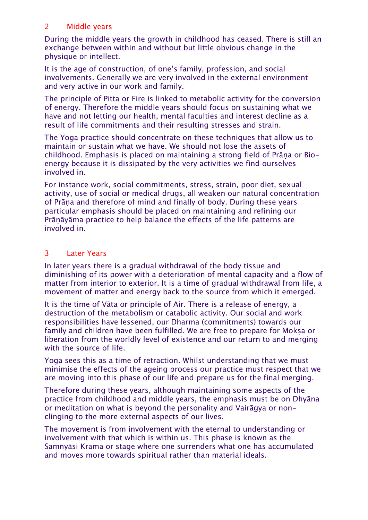# 2 Middle years

During the middle years the growth in childhood has ceased. There is still an exchange between within and without but little obvious change in the physique or intellect.

It is the age of construction, of one's family, profession, and social involvements. Generally we are very involved in the external environment and very active in our work and family.

The principle of Pitta or Fire is linked to metabolic activity for the conversion of energy. Therefore the middle years should focus on sustaining what we have and not letting our health, mental faculties and interest decline as a result of life commitments and their resulting stresses and strain.

The Yoga practice should concentrate on these techniques that allow us to maintain or sustain what we have. We should not lose the assets of childhood. Emphasis is placed on maintaining a strong field of Prāṇa or Bioenergy because it is dissipated by the very activities we find ourselves involved in.

For instance work, social commitments, stress, strain, poor diet, sexual activity, use of social or medical drugs, all weaken our natural concentration of Prāṇa and therefore of mind and finally of body. During these years particular emphasis should be placed on maintaining and refining our Prāṇāyāma practice to help balance the effects of the life patterns are involved in.

# 3 Later Years

In later years there is a gradual withdrawal of the body tissue and diminishing of its power with a deterioration of mental capacity and a flow of matter from interior to exterior. It is a time of gradual withdrawal from life, a movement of matter and energy back to the source from which it emerged.

It is the time of Vāta or principle of Air. There is a release of energy, a destruction of the metabolism or catabolic activity. Our social and work responsibilities have lessened, our Dharma (commitments) towards our family and children have been fulfilled. We are free to prepare for Moksa or liberation from the worldly level of existence and our return to and merging with the source of life.

Yoga sees this as a time of retraction. Whilst understanding that we must minimise the effects of the ageing process our practice must respect that we are moving into this phase of our life and prepare us for the final merging.

Therefore during these years, although maintaining some aspects of the practice from childhood and middle years, the emphasis must be on Dhyāna or meditation on what is beyond the personality and Vairāgya or nonclinging to the more external aspects of our lives.

The movement is from involvement with the eternal to understanding or involvement with that which is within us. This phase is known as the Saṃnyāsi Krama or stage where one surrenders what one has accumulated and moves more towards spiritual rather than material ideals.